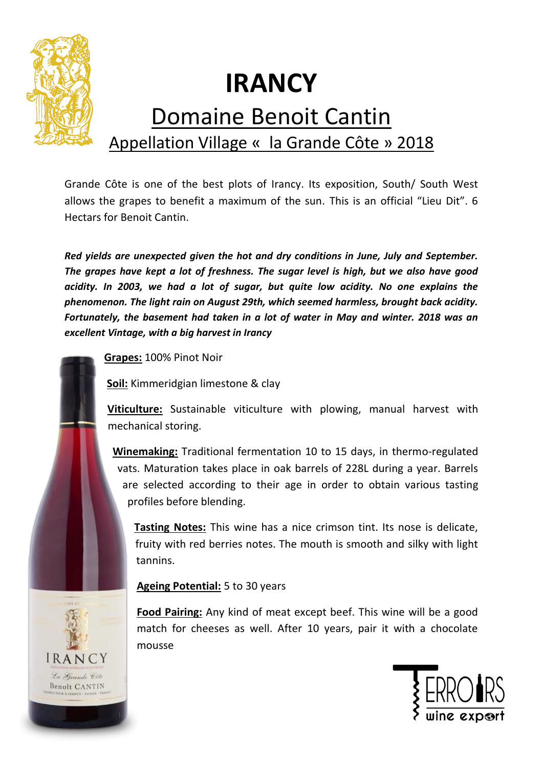

## **IRANCY**

## Domaine Benoit Cantin Appellation Village « la Grande Côte » 2018

Grande Côte is one of the best plots of Irancy. Its exposition, South/ South West allows the grapes to benefit a maximum of the sun. This is an official "Lieu Dit". 6 Hectars for Benoit Cantin.

*Red yields are unexpected given the hot and dry conditions in June, July and September. The grapes have kept a lot of freshness. The sugar level is high, but we also have good acidity. In 2003, we had a lot of sugar, but quite low acidity. No one explains the phenomenon. The light rain on August 29th, which seemed harmless, brought back acidity. Fortunately, the basement had taken in a lot of water in May and winter. 2018 was an excellent Vintage, with a big harvest in Irancy*

**Grapes:** 100% Pinot Noir

**Soil:** Kimmeridgian limestone & clay

**Viticulture:** Sustainable viticulture with plowing, manual harvest with mechanical storing.

**Winemaking:** Traditional fermentation 10 to 15 days, in thermo-regulated vats. Maturation takes place in oak barrels of 228L during a year. Barrels are selected according to their age in order to obtain various tasting profiles before blending.

**Tasting Notes:** This wine has a nice crimson tint. Its nose is delicate, fruity with red berries notes. The mouth is smooth and silky with light tannins.

## **Ageing Potential:** 5 to 30 years

**Food Pairing:** Any kind of meat except beef. This wine will be a good match for cheeses as well. After 10 years, pair it with a chocolate mousse